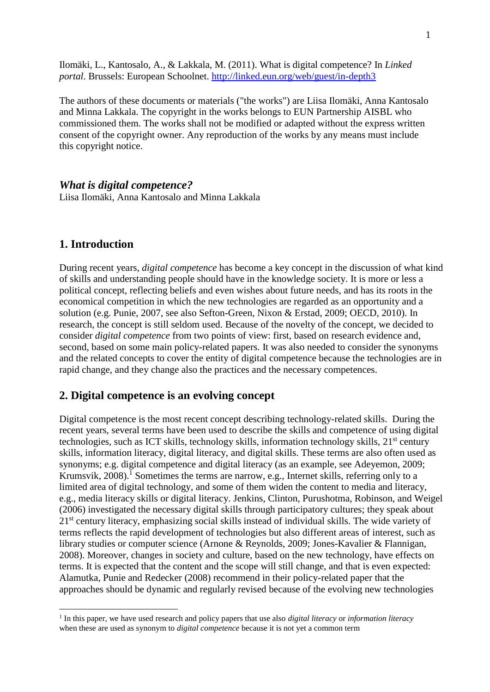Ilomäki, L., Kantosalo, A., & Lakkala, M. (2011). What is digital competence? In *Linked portal*. Brussels: European Schoolnet.<http://linked.eun.org/web/guest/in-depth3>

The authors of these documents or materials ("the works") are Liisa Ilomäki, Anna Kantosalo and Minna Lakkala. The copyright in the works belongs to EUN Partnership AISBL who commissioned them. The works shall not be modified or adapted without the express written consent of the copyright owner. Any reproduction of the works by any means must include this copyright notice.

*What is digital competence?* Liisa Ilomäki, Anna Kantosalo and Minna Lakkala

## **1. Introduction**

1

During recent years, *digital competence* has become a key concept in the discussion of what kind of skills and understanding people should have in the knowledge society. It is more or less a political concept, reflecting beliefs and even wishes about future needs, and has its roots in the economical competition in which the new technologies are regarded as an opportunity and a solution (e.g. Punie, 2007, see also Sefton-Green, Nixon & Erstad, 2009; OECD, 2010). In research, the concept is still seldom used. Because of the novelty of the concept, we decided to consider *digital competence* from two points of view: first, based on research evidence and, second, based on some main policy-related papers. It was also needed to consider the synonyms and the related concepts to cover the entity of digital competence because the technologies are in rapid change, and they change also the practices and the necessary competences.

### **2. Digital competence is an evolving concept**

Digital competence is the most recent concept describing technology-related skills. During the recent years, several terms have been used to describe the skills and competence of using digital technologies, such as ICT skills, technology skills, information technology skills, 21<sup>st</sup> century skills, information literacy, digital literacy, and digital skills. These terms are also often used as synonyms; e.g. digital competence and digital literacy (as an example, see Adeyemon, 2009; Krumsvik,  $2008$ ).<sup>1</sup> Sometimes the terms are narrow, e.g., Internet skills, referring only to a limited area of digital technology, and some of them widen the content to media and literacy, e.g., media literacy skills or digital literacy. Jenkins, Clinton, Purushotma, Robinson, and Weigel (2006) investigated the necessary digital skills through participatory cultures; they speak about 21<sup>st</sup> century literacy, emphasizing social skills instead of individual skills. The wide variety of terms reflects the rapid development of technologies but also different areas of interest, such as library studies or computer science (Arnone & Reynolds, 2009; Jones-Kavalier & Flannigan, 2008). Moreover, changes in society and culture, based on the new technology, have effects on terms. It is expected that the content and the scope will still change, and that is even expected: Alamutka, Punie and Redecker (2008) recommend in their policy-related paper that the approaches should be dynamic and regularly revised because of the evolving new technologies

<sup>1</sup> In this paper, we have used research and policy papers that use also *digital literacy* or *information literacy* when these are used as synonym to *digital competence* because it is not yet a common term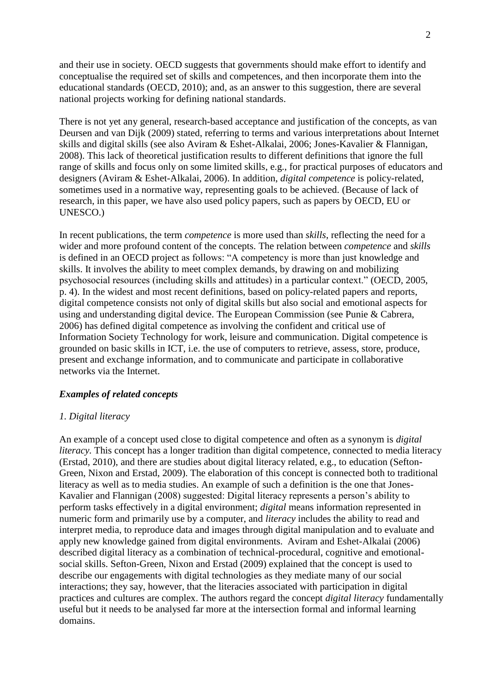and their use in society. OECD suggests that governments should make effort to identify and conceptualise the required set of skills and competences, and then incorporate them into the educational standards (OECD, 2010); and, as an answer to this suggestion, there are several national projects working for defining national standards.

There is not yet any general, research-based acceptance and justification of the concepts, as van Deursen and van Dijk (2009) stated, referring to terms and various interpretations about Internet skills and digital skills (see also Aviram & Eshet-Alkalai, 2006; Jones-Kavalier & Flannigan, 2008). This lack of theoretical justification results to different definitions that ignore the full range of skills and focus only on some limited skills, e.g., for practical purposes of educators and designers (Aviram & Eshet-Alkalai, 2006). In addition, *digital competence* is policy-related, sometimes used in a normative way, representing goals to be achieved. (Because of lack of research, in this paper, we have also used policy papers, such as papers by OECD, EU or UNESCO.)

In recent publications, the term *competence* is more used than *skills*, reflecting the need for a wider and more profound content of the concepts. The relation between *competence* and *skills* is defined in an OECD project as follows: "A competency is more than just knowledge and skills. It involves the ability to meet complex demands, by drawing on and mobilizing psychosocial resources (including skills and attitudes) in a particular context." (OECD*,* 2005, p. 4). In the widest and most recent definitions, based on policy-related papers and reports, digital competence consists not only of digital skills but also social and emotional aspects for using and understanding digital device. The European Commission (see Punie & Cabrera, 2006) has defined digital competence as involving the confident and critical use of Information Society Technology for work, leisure and communication. Digital competence is grounded on basic skills in ICT, i.e. the use of computers to retrieve, assess, store, produce, present and exchange information, and to communicate and participate in collaborative networks via the Internet.

#### *Examples of related concepts*

#### *1. Digital literacy*

An example of a concept used close to digital competence and often as a synonym is *digital literacy*. This concept has a longer tradition than digital competence, connected to media literacy (Erstad, 2010), and there are studies about digital literacy related, e.g., to education (Sefton-Green, Nixon and Erstad, 2009). The elaboration of this concept is connected both to traditional literacy as well as to media studies. An example of such a definition is the one that Jones-Kavalier and Flannigan (2008) suggested: Digital literacy represents a person's ability to perform tasks effectively in a digital environment; *digital* means information represented in numeric form and primarily use by a computer, and *literacy* includes the ability to read and interpret media, to reproduce data and images through digital manipulation and to evaluate and apply new knowledge gained from digital environments. Aviram and Eshet-Alkalai (2006) described digital literacy as a combination of technical-procedural, cognitive and emotionalsocial skills. Sefton-Green, Nixon and Erstad (2009) explained that the concept is used to describe our engagements with digital technologies as they mediate many of our social interactions; they say, however, that the literacies associated with participation in digital practices and cultures are complex. The authors regard the concept *digital literacy* fundamentally useful but it needs to be analysed far more at the intersection formal and informal learning domains.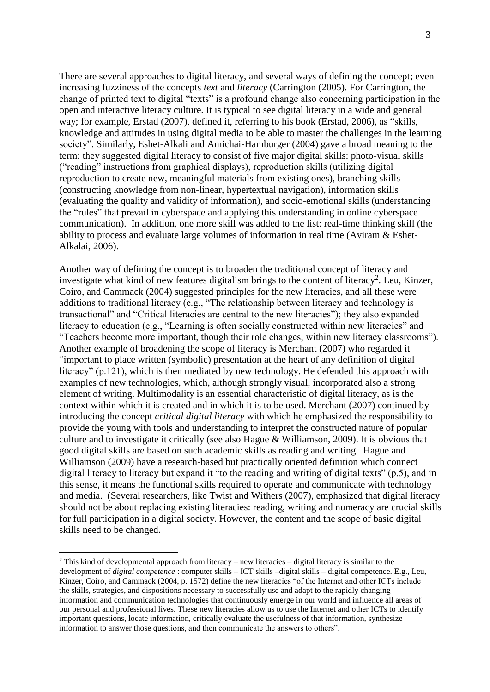There are several approaches to digital literacy, and several ways of defining the concept; even increasing fuzziness of the concepts *text* and *literacy* (Carrington (2005). For Carrington, the change of printed text to digital "texts" is a profound change also concerning participation in the open and interactive literacy culture. It is typical to see digital literacy in a wide and general way; for example, Erstad (2007), defined it, referring to his book (Erstad, 2006), as "skills, knowledge and attitudes in using digital media to be able to master the challenges in the learning society". Similarly, Eshet-Alkali and Amichai-Hamburger (2004) gave a broad meaning to the term: they suggested digital literacy to consist of five major digital skills: photo-visual skills ("reading" instructions from graphical displays), reproduction skills (utilizing digital reproduction to create new, meaningful materials from existing ones), branching skills (constructing knowledge from non-linear, hypertextual navigation), information skills (evaluating the quality and validity of information), and socio-emotional skills (understanding the "rules" that prevail in cyberspace and applying this understanding in online cyberspace communication). In addition, one more skill was added to the list: real-time thinking skill (the ability to process and evaluate large volumes of information in real time (Aviram & Eshet-Alkalai, 2006).

Another way of defining the concept is to broaden the traditional concept of literacy and investigate what kind of new features digitalism brings to the content of literacy<sup>2</sup>. Leu, Kinzer, Coiro, and Cammack (2004) suggested principles for the new literacies, and all these were additions to traditional literacy (e.g., "The relationship between literacy and technology is transactional" and "Critical literacies are central to the new literacies"); they also expanded literacy to education (e.g., "Learning is often socially constructed within new literacies" and "Teachers become more important, though their role changes, within new literacy classrooms"). Another example of broadening the scope of literacy is Merchant (2007) who regarded it "important to place written (symbolic) presentation at the heart of any definition of digital literacy" (p.121), which is then mediated by new technology. He defended this approach with examples of new technologies, which, although strongly visual, incorporated also a strong element of writing. Multimodality is an essential characteristic of digital literacy, as is the context within which it is created and in which it is to be used. Merchant (2007) continued by introducing the concept *critical digital literacy* with which he emphasized the responsibility to provide the young with tools and understanding to interpret the constructed nature of popular culture and to investigate it critically (see also Hague & Williamson, 2009). It is obvious that good digital skills are based on such academic skills as reading and writing. Hague and Williamson (2009) have a research-based but practically oriented definition which connect digital literacy to literacy but expand it "to the reading and writing of digital texts" (p.5), and in this sense, it means the functional skills required to operate and communicate with technology and media. (Several researchers, like Twist and Withers (2007), emphasized that digital literacy should not be about replacing existing literacies: reading, writing and numeracy are crucial skills for full participation in a digital society. However, the content and the scope of basic digital skills need to be changed.

1

 $2$  This kind of developmental approach from literacy – new literacies – digital literacy is similar to the development of *digital competence* : computer skills – ICT skills –digital skills – digital competence. E.g., Leu, Kinzer, Coiro, and Cammack (2004, p. 1572) define the new literacies "of the Internet and other ICTs include the skills, strategies, and dispositions necessary to successfully use and adapt to the rapidly changing information and communication technologies that continuously emerge in our world and influence all areas of our personal and professional lives. These new literacies allow us to use the Internet and other ICTs to identify important questions, locate information, critically evaluate the usefulness of that information, synthesize information to answer those questions, and then communicate the answers to others".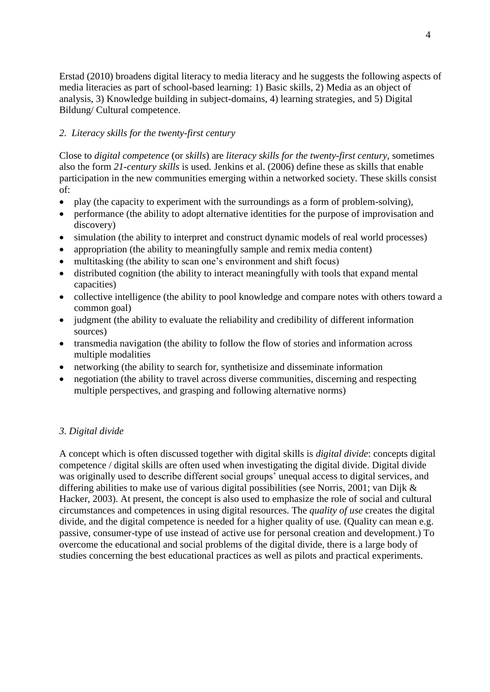Erstad (2010) broadens digital literacy to media literacy and he suggests the following aspects of media literacies as part of school-based learning: 1) Basic skills, 2) Media as an object of analysis, 3) Knowledge building in subject-domains, 4) learning strategies, and 5) Digital Bildung/ Cultural competence.

## *2. Literacy skills for the twenty-first century*

Close to *digital competence* (or *skills*) are *literacy skills for the twenty-first century*, sometimes also the form *21-century skills* is used*.* Jenkins et al. (2006) define these as skills that enable participation in the new communities emerging within a networked society. These skills consist of:

- play (the capacity to experiment with the surroundings as a form of problem-solving),
- performance (the ability to adopt alternative identities for the purpose of improvisation and discovery)
- simulation (the ability to interpret and construct dynamic models of real world processes)
- appropriation (the ability to meaningfully sample and remix media content)
- multitasking (the ability to scan one's environment and shift focus)
- distributed cognition (the ability to interact meaningfully with tools that expand mental capacities)
- collective intelligence (the ability to pool knowledge and compare notes with others toward a common goal)
- judgment (the ability to evaluate the reliability and credibility of different information sources)
- transmedia navigation (the ability to follow the flow of stories and information across multiple modalities
- networking (the ability to search for, synthetisize and disseminate information
- negotiation (the ability to travel across diverse communities, discerning and respecting multiple perspectives, and grasping and following alternative norms)

## *3. Digital divide*

A concept which is often discussed together with digital skills is *digital divide*: concepts digital competence / digital skills are often used when investigating the digital divide. Digital divide was originally used to describe different social groups' unequal access to digital services, and differing abilities to make use of various digital possibilities (see Norris, 2001; van Dijk & Hacker, 2003). At present, the concept is also used to emphasize the role of social and cultural circumstances and competences in using digital resources. The *quality of use* creates the digital divide, and the digital competence is needed for a higher quality of use. (Quality can mean e.g. passive, consumer-type of use instead of active use for personal creation and development.) To overcome the educational and social problems of the digital divide, there is a large body of studies concerning the best educational practices as well as pilots and practical experiments.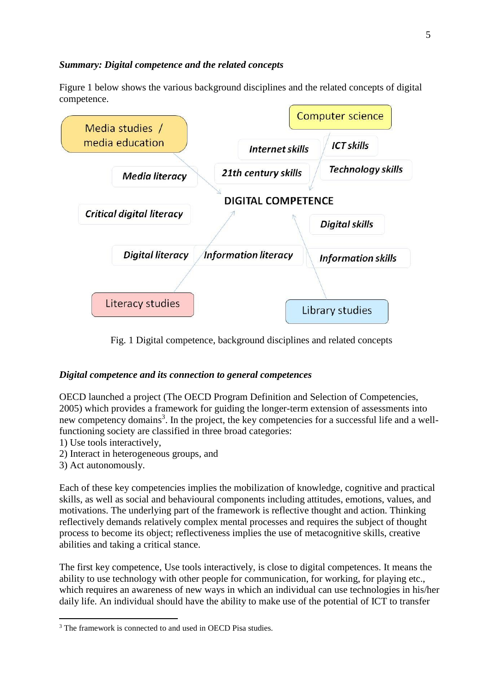#### *Summary: Digital competence and the related concepts*

Figure 1 below shows the various background disciplines and the related concepts of digital competence.



Fig. 1 Digital competence, background disciplines and related concepts

## *Digital competence and its connection to general competences*

OECD launched a project (The OECD Program Definition and Selection of Competencies, 2005) which provides a framework for guiding the longer-term extension of assessments into new competency domains<sup>3</sup>. In the project, the key competencies for a successful life and a wellfunctioning society are classified in three broad categories:

- 1) Use tools interactively,
- 2) Interact in heterogeneous groups, and
- 3) Act autonomously.

1

Each of these key competencies implies the mobilization of knowledge, cognitive and practical skills, as well as social and behavioural components including attitudes, emotions, values, and motivations. The underlying part of the framework is reflective thought and action. Thinking reflectively demands relatively complex mental processes and requires the subject of thought process to become its object; reflectiveness implies the use of metacognitive skills, creative abilities and taking a critical stance.

The first key competence, Use tools interactively, is close to digital competences. It means the ability to use technology with other people for communication, for working, for playing etc., which requires an awareness of new ways in which an individual can use technologies in his/her daily life. An individual should have the ability to make use of the potential of ICT to transfer

<sup>&</sup>lt;sup>3</sup> The framework is connected to and used in OECD Pisa studies.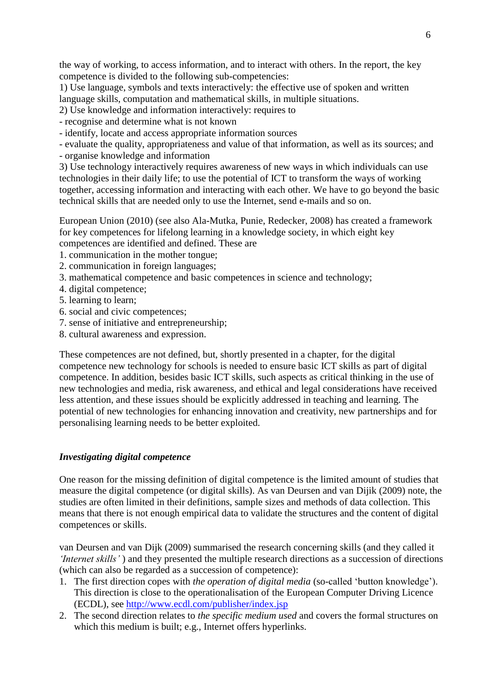the way of working, to access information, and to interact with others. In the report, the key competence is divided to the following sub-competencies:

1) Use language, symbols and texts interactively: the effective use of spoken and written language skills, computation and mathematical skills, in multiple situations.

2) Use knowledge and information interactively: requires to

- recognise and determine what is not known

- identify, locate and access appropriate information sources

- evaluate the quality, appropriateness and value of that information, as well as its sources; and - organise knowledge and information

3) Use technology interactively requires awareness of new ways in which individuals can use technologies in their daily life; to use the potential of ICT to transform the ways of working together, accessing information and interacting with each other. We have to go beyond the basic technical skills that are needed only to use the Internet, send e-mails and so on.

European Union (2010) (see also Ala-Mutka, Punie, Redecker, 2008) has created a framework for key competences for lifelong learning in a knowledge society, in which eight key competences are identified and defined. These are

1. communication in the mother tongue;

- 2. communication in foreign languages;
- 3. mathematical competence and basic competences in science and technology;
- 4. digital competence;
- 5. learning to learn;
- 6. social and civic competences;
- 7. sense of initiative and entrepreneurship;
- 8. cultural awareness and expression.

These competences are not defined, but, shortly presented in a chapter, for the digital competence new technology for schools is needed to ensure basic ICT skills as part of digital competence. In addition, besides basic ICT skills, such aspects as critical thinking in the use of new technologies and media, risk awareness, and ethical and legal considerations have received less attention, and these issues should be explicitly addressed in teaching and learning. The potential of new technologies for enhancing innovation and creativity, new partnerships and for personalising learning needs to be better exploited.

#### *Investigating digital competence*

One reason for the missing definition of digital competence is the limited amount of studies that measure the digital competence (or digital skills). As van Deursen and van Dijik (2009) note, the studies are often limited in their definitions, sample sizes and methods of data collection. This means that there is not enough empirical data to validate the structures and the content of digital competences or skills.

van Deursen and van Dijk (2009) summarised the research concerning skills (and they called it *'Internet skills'* ) and they presented the multiple research directions as a succession of directions (which can also be regarded as a succession of competence):

- 1. The first direction copes with *the operation of digital media* (so-called 'button knowledge'). This direction is close to the operationalisation of the European Computer Driving Licence (ECDL), see<http://www.ecdl.com/publisher/index.jsp>
- 2. The second direction relates to *the specific medium used* and covers the formal structures on which this medium is built; e.g., Internet offers hyperlinks.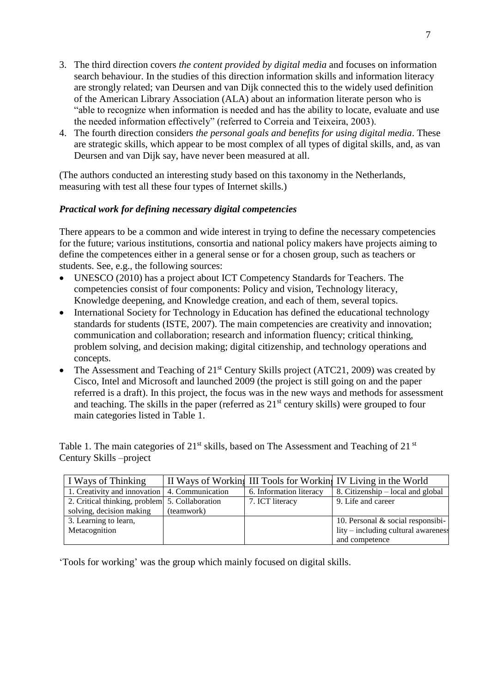- 3. The third direction covers *the content provided by digital media* and focuses on information search behaviour. In the studies of this direction information skills and information literacy are strongly related; van Deursen and van Dijk connected this to the widely used definition of the American Library Association (ALA) about an information literate person who is "able to recognize when information is needed and has the ability to locate, evaluate and use the needed information effectively" (referred to Correia and Teixeira, 2003).
- 4. The fourth direction considers *the personal goals and benefits for using digital media*. These are strategic skills, which appear to be most complex of all types of digital skills, and, as van Deursen and van Dijk say, have never been measured at all.

(The authors conducted an interesting study based on this taxonomy in the Netherlands, measuring with test all these four types of Internet skills.)

### *Practical work for defining necessary digital competencies*

There appears to be a common and wide interest in trying to define the necessary competencies for the future; various institutions, consortia and national policy makers have projects aiming to define the competences either in a general sense or for a chosen group, such as teachers or students. See, e.g., the following sources:

- UNESCO (2010) has a project about ICT Competency Standards for Teachers. The competencies consist of four components: Policy and vision, Technology literacy, Knowledge deepening, and Knowledge creation, and each of them, several topics.
- International Society for Technology in Education has defined the educational technology standards for students (ISTE, 2007). The main competencies are creativity and innovation; communication and collaboration; research and information fluency; critical thinking, problem solving, and decision making; digital citizenship, and technology operations and concepts.
- The Assessment and Teaching of  $21<sup>st</sup>$  Century Skills project (ATC21, 2009) was created by Cisco, Intel and Microsoft and launched 2009 (the project is still going on and the paper referred is a draft). In this project, the focus was in the new ways and methods for assessment and teaching. The skills in the paper (referred as  $21<sup>st</sup>$  century skills) were grouped to four main categories listed in Table 1.

Table 1. The main categories of 21<sup>st</sup> skills, based on The Assessment and Teaching of 21<sup>st</sup> Century Skills –project

| I Ways of Thinking                              |            |                         | II Ways of Working III Tools for Working IV Living in the World |
|-------------------------------------------------|------------|-------------------------|-----------------------------------------------------------------|
| 1. Creativity and innovation   4. Communication |            | 6. Information literacy | 8. Citizenship – local and global                               |
| 2. Critical thinking, problem 5. Collaboration  |            | 7. ICT literacy         | 9. Life and career                                              |
| solving, decision making                        | (teamwork) |                         |                                                                 |
| 3. Learning to learn,                           |            |                         | 10. Personal $&$ social responsibi-                             |
| Metacognition                                   |            |                         | lity – including cultural awareness                             |
|                                                 |            |                         | and competence                                                  |

'Tools for working' was the group which mainly focused on digital skills.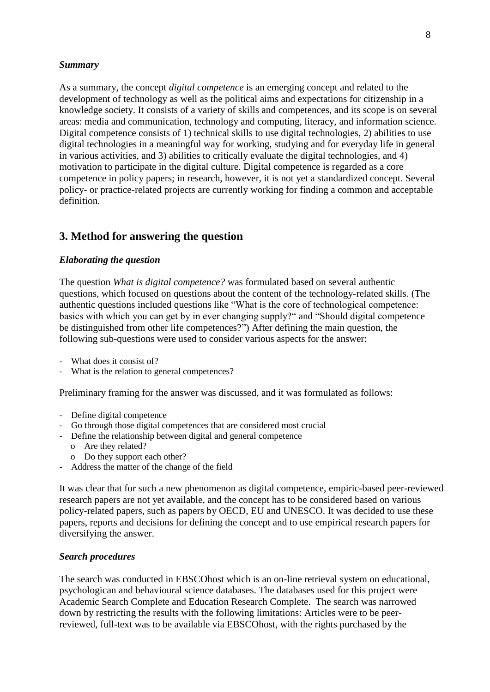#### *Summary*

As a summary, the concept *digital competence* is an emerging concept and related to the development of technology as well as the political aims and expectations for citizenship in a knowledge society. It consists of a variety of skills and competences, and its scope is on several areas: media and communication, technology and computing, literacy, and information science. Digital competence consists of 1) technical skills to use digital technologies, 2) abilities to use digital technologies in a meaningful way for working, studying and for everyday life in general in various activities, and 3) abilities to critically evaluate the digital technologies, and 4) motivation to participate in the digital culture. Digital competence is regarded as a core competence in policy papers; in research, however, it is not yet a standardized concept. Several policy- or practice-related projects are currently working for finding a common and acceptable definition.

# **3. Method for answering the question**

#### *Elaborating the question*

The question *What is digital competence?* was formulated based on several authentic questions, which focused on questions about the content of the technology-related skills. (The authentic questions included questions like "What is the core of technological competence: basics with which you can get by in ever changing supply?" and "Should digital competence be distinguished from other life competences?") After defining the main question, the following sub-questions were used to consider various aspects for the answer:

- What does it consist of?
- What is the relation to general competences?

Preliminary framing for the answer was discussed, and it was formulated as follows:

- Define digital competence
- Go through those digital competences that are considered most crucial
- Define the relationship between digital and general competence
	- o Are they related?
	- o Do they support each other?
- Address the matter of the change of the field

It was clear that for such a new phenomenon as digital competence, empiric-based peer-reviewed research papers are not yet available, and the concept has to be considered based on various policy-related papers, such as papers by OECD, EU and UNESCO. It was decided to use these papers, reports and decisions for defining the concept and to use empirical research papers for diversifying the answer.

#### *Search procedures*

The search was conducted in EBSCOhost which is an on-line retrieval system on educational, psychologican and behavioural science databases. The databases used for this project were Academic Search Complete and Education Research Complete. The search was narrowed down by restricting the results with the following limitations: Articles were to be peerreviewed, full-text was to be available via EBSCOhost, with the rights purchased by the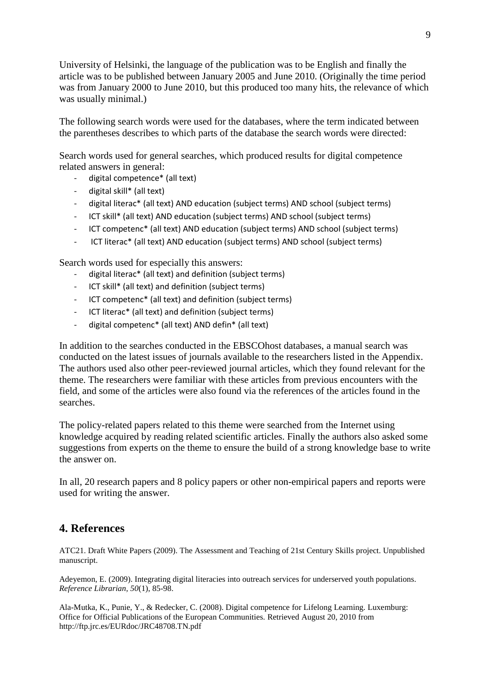University of Helsinki, the language of the publication was to be English and finally the article was to be published between January 2005 and June 2010. (Originally the time period was from January 2000 to June 2010, but this produced too many hits, the relevance of which was usually minimal.)

The following search words were used for the databases, where the term indicated between the parentheses describes to which parts of the database the search words were directed:

Search words used for general searches, which produced results for digital competence related answers in general:

- digital competence\* (all text)
- digital skill\* (all text)
- digital literac\* (all text) AND education (subject terms) AND school (subject terms)
- ICT skill\* (all text) AND education (subject terms) AND school (subject terms)
- ICT competenc\* (all text) AND education (subject terms) AND school (subject terms)
- ICT literac\* (all text) AND education (subject terms) AND school (subject terms)

Search words used for especially this answers:

- digital literac\* (all text) and definition (subject terms)
- ICT skill\* (all text) and definition (subject terms)
- ICT competenc\* (all text) and definition (subject terms)
- ICT literac\* (all text) and definition (subject terms)
- digital competenc\* (all text) AND defin\* (all text)

In addition to the searches conducted in the EBSCOhost databases, a manual search was conducted on the latest issues of journals available to the researchers listed in the Appendix. The authors used also other peer-reviewed journal articles, which they found relevant for the theme. The researchers were familiar with these articles from previous encounters with the field, and some of the articles were also found via the references of the articles found in the searches.

The policy-related papers related to this theme were searched from the Internet using knowledge acquired by reading related scientific articles. Finally the authors also asked some suggestions from experts on the theme to ensure the build of a strong knowledge base to write the answer on.

In all, 20 research papers and 8 policy papers or other non-empirical papers and reports were used for writing the answer.

# **4. References**

ATC21. Draft White Papers (2009). The Assessment and Teaching of 21st Century Skills project. Unpublished manuscript.

Adeyemon, E. (2009). Integrating digital literacies into outreach services for underserved youth populations. *Reference Librarian, 50*(1), 85-98.

Ala-Mutka, K., Punie, Y., & Redecker, C. (2008). Digital competence for Lifelong Learning. Luxemburg: Office for Official Publications of the European Communities. Retrieved August 20, 2010 from <http://ftp.jrc.es/EURdoc/JRC48708.TN.pdf>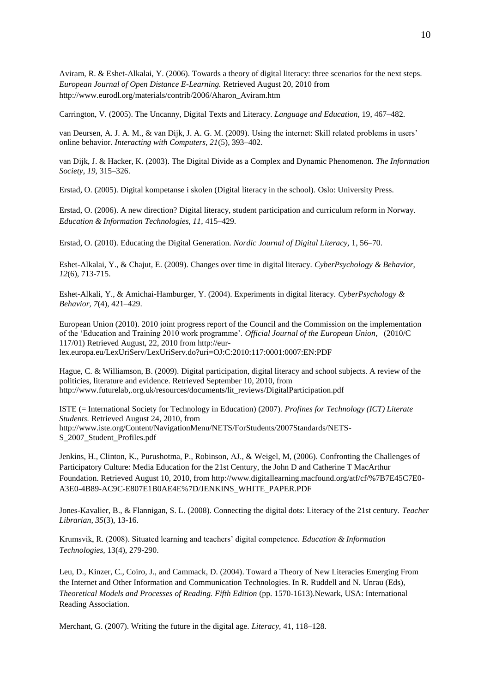Aviram, R. & Eshet-Alkalai, Y. (2006). Towards a theory of digital literacy: three scenarios for the next steps. *European Journal of Open Distance E-Learning.* Retrieved August 20, 2010 from http://www.eurodl.org/materials/contrib/2006/Aharon\_Aviram.htm

Carrington, V. (2005). The Uncanny, Digital Texts and Literacy. *Language and Education,* 19, 467–482.

van Deursen, A. J. A. M., & van Dijk, J. A. G. M. (2009). Using the internet: Skill related problems in users' online behavior. *Interacting with Computers, 21*(5), 393–402.

van Dijk, J. & Hacker, K. (2003). The Digital Divide as a Complex and Dynamic Phenomenon. *The Information Society*, *19,* 315–326.

Erstad, O. (2005). Digital kompetanse i skolen (Digital literacy in the school). Oslo: University Press.

Erstad, O. (2006). A new direction? Digital literacy, student participation and curriculum reform in Norway. *Education & Information Technologies, 11,* 415–429.

Erstad, O. (2010). Educating the Digital Generation. *Nordic Journal of Digital Literacy,* 1, 56–70.

Eshet-Alkalai, Y., & Chajut, E. (2009). Changes over time in digital literacy. *CyberPsychology & Behavior, 12*(6), 713-715.

Eshet-Alkali, Y., & Amichai-Hamburger, Y. (2004). Experiments in digital literacy. *CyberPsychology & Behavior, 7*(4), 421–429.

European Union (2010). 2010 joint progress report of the Council and the Commission on the implementation of the 'Education and Training 2010 work programme'. *Official Journal of the European Union,* (2010/C 117/01) Retrieved August, 22, 2010 from [http://eur](http://eur-lex.europa.eu/LexUriServ/LexUriServ.do?uri=OJ:C:2010:117:0001:0007:EN:PDF)[lex.europa.eu/LexUriServ/LexUriServ.do?uri=OJ:C:2010:117:0001:0007:EN:PDF](http://eur-lex.europa.eu/LexUriServ/LexUriServ.do?uri=OJ:C:2010:117:0001:0007:EN:PDF)

Hague, C. & Williamson, B. (2009). Digital participation, digital literacy and school subjects. A review of the politicies, literature and evidence. Retrieved September 10, 2010, from http://www.futurelab,.org.uk/resources/documents/lit\_reviews/DigitalParticipation.pdf

ISTE (= International Society for Technology in Education) (2007). *Profines for Technology (ICT) Literate Students.* Retrieved August 24, 2010, from [http://www.iste.org/Content/NavigationMenu/NETS/ForStudents/2007Standards/NETS-](http://www.iste.org/Content/NavigationMenu/NETS/ForStudents/2007Standards/NETS-S_2007_Student_Profiles.pdf)[S\\_2007\\_Student\\_Profiles.pdf](http://www.iste.org/Content/NavigationMenu/NETS/ForStudents/2007Standards/NETS-S_2007_Student_Profiles.pdf)

Jenkins, H., Clinton, K., Purushotma, P., Robinson, AJ., & Weigel, M, (2006). Confronting the Challenges of Participatory Culture: Media Education for the 21st Century, the John D and Catherine T MacArthur Foundation. Retrieved August 10, 2010, from http://www.digitallearning.macfound.org/atf/cf/%7B7E45C7E0- A3E0-4B89-AC9C-E807E1B0AE4E%7D/JENKINS\_WHITE\_PAPER.PDF

Jones-Kavalier, B., & Flannigan, S. L. (2008). Connecting the digital dots: Literacy of the 21st century. *Teacher Librarian, 35*(3), 13-16.

Krumsvik, R. (2008). Situated learning and teachers' digital competence. *Education & Information Technologies,* 13(4), 279-290.

Leu, D., Kinzer, C., Coiro, J., and Cammack, D. (2004). Toward a Theory of New Literacies Emerging From the Internet and Other Information and Communication Technologies. In R. Ruddell and N. Unrau (Eds), *Theoretical Models and Processes of Reading. Fifth Edition* (pp. 1570-1613).Newark, USA: International Reading Association.

Merchant, G. (2007). Writing the future in the digital age. *Literacy,* 41, 118–128.